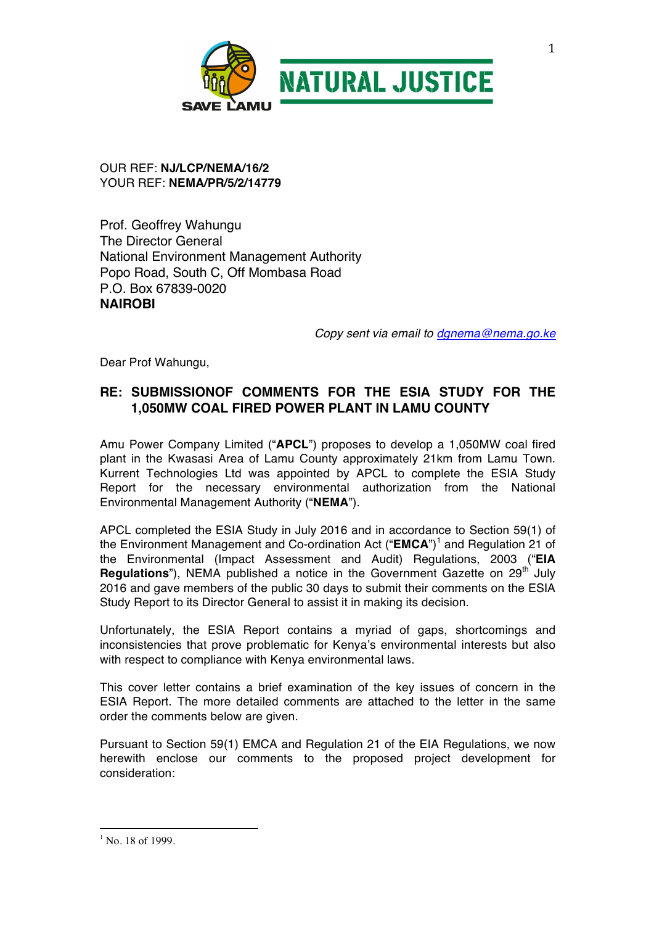

#### OUR REF: **NJ/LCP/NEMA/16/2** YOUR REF: **NEMA/PR/5/2/14779**

Prof. Geoffrey Wahungu The Director General National Environment Management Authority Popo Road, South C, Off Mombasa Road P.O. Box 67839-0020 **NAIROBI**

*Copy sent via email to dgnema@nema.go.ke*

Dear Prof Wahungu,

# **RE: SUBMISSIONOF COMMENTS FOR THE ESIA STUDY FOR THE 1,050MW COAL FIRED POWER PLANT IN LAMU COUNTY**

Amu Power Company Limited ("**APCL**") proposes to develop a 1,050MW coal fired plant in the Kwasasi Area of Lamu County approximately 21km from Lamu Town. Kurrent Technologies Ltd was appointed by APCL to complete the ESIA Study Report for the necessary environmental authorization from the National Environmental Management Authority ("**NEMA**").

APCL completed the ESIA Study in July 2016 and in accordance to Section 59(1) of the Environment Management and Co-ordination Act ("**EMCA**")<sup>1</sup> and Regulation 21 of the Environmental (Impact Assessment and Audit) Regulations, 2003 ("**EIA Regulations**"), NEMA published a notice in the Government Gazette on 29<sup>th</sup> July 2016 and gave members of the public 30 days to submit their comments on the ESIA Study Report to its Director General to assist it in making its decision.

Unfortunately, the ESIA Report contains a myriad of gaps, shortcomings and inconsistencies that prove problematic for Kenya's environmental interests but also with respect to compliance with Kenya environmental laws.

This cover letter contains a brief examination of the key issues of concern in the ESIA Report. The more detailed comments are attached to the letter in the same order the comments below are given.

Pursuant to Section 59(1) EMCA and Regulation 21 of the EIA Regulations, we now herewith enclose our comments to the proposed project development for consideration:

 

 $1 N_0$  18 of 1999.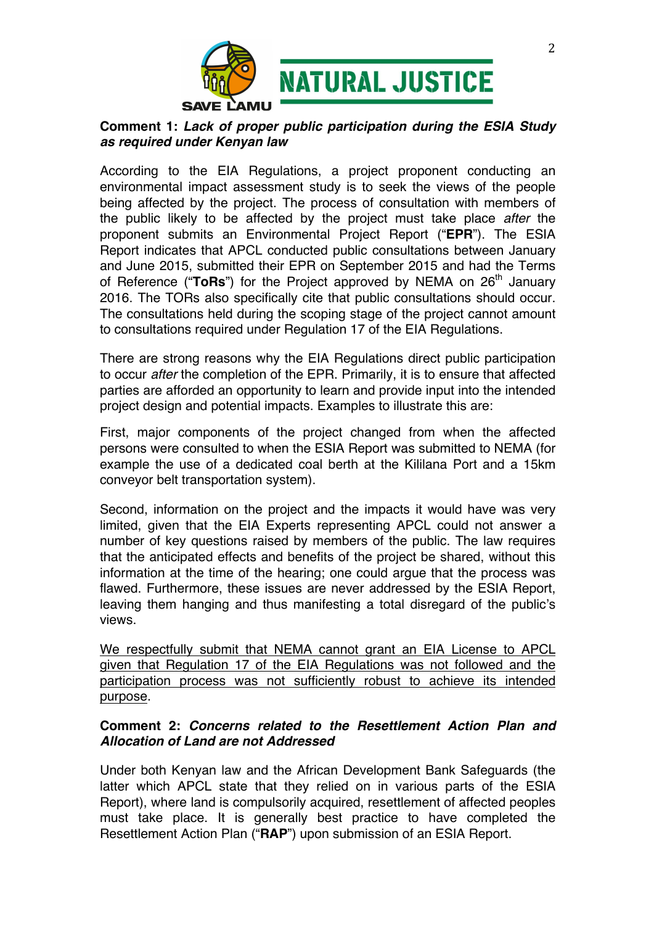

# **Comment 1:** *Lack of proper public participation during the ESIA Study as required under Kenyan law*

According to the EIA Regulations, a project proponent conducting an environmental impact assessment study is to seek the views of the people being affected by the project. The process of consultation with members of the public likely to be affected by the project must take place *after* the proponent submits an Environmental Project Report ("**EPR**"). The ESIA Report indicates that APCL conducted public consultations between January and June 2015, submitted their EPR on September 2015 and had the Terms of Reference ("ToRs") for the Project approved by NEMA on 26<sup>th</sup> January 2016. The TORs also specifically cite that public consultations should occur. The consultations held during the scoping stage of the project cannot amount to consultations required under Regulation 17 of the EIA Regulations.

There are strong reasons why the EIA Regulations direct public participation to occur *after* the completion of the EPR. Primarily, it is to ensure that affected parties are afforded an opportunity to learn and provide input into the intended project design and potential impacts. Examples to illustrate this are:

First, major components of the project changed from when the affected persons were consulted to when the ESIA Report was submitted to NEMA (for example the use of a dedicated coal berth at the Kililana Port and a 15km conveyor belt transportation system).

Second, information on the project and the impacts it would have was very limited, given that the EIA Experts representing APCL could not answer a number of key questions raised by members of the public. The law requires that the anticipated effects and benefits of the project be shared, without this information at the time of the hearing; one could argue that the process was flawed. Furthermore, these issues are never addressed by the ESIA Report, leaving them hanging and thus manifesting a total disregard of the public's views.

We respectfully submit that NEMA cannot grant an EIA License to APCL given that Regulation 17 of the EIA Regulations was not followed and the participation process was not sufficiently robust to achieve its intended purpose.

## **Comment 2:** *Concerns related to the Resettlement Action Plan and Allocation of Land are not Addressed*

Under both Kenyan law and the African Development Bank Safeguards (the latter which APCL state that they relied on in various parts of the ESIA Report), where land is compulsorily acquired, resettlement of affected peoples must take place. It is generally best practice to have completed the Resettlement Action Plan ("**RAP**") upon submission of an ESIA Report.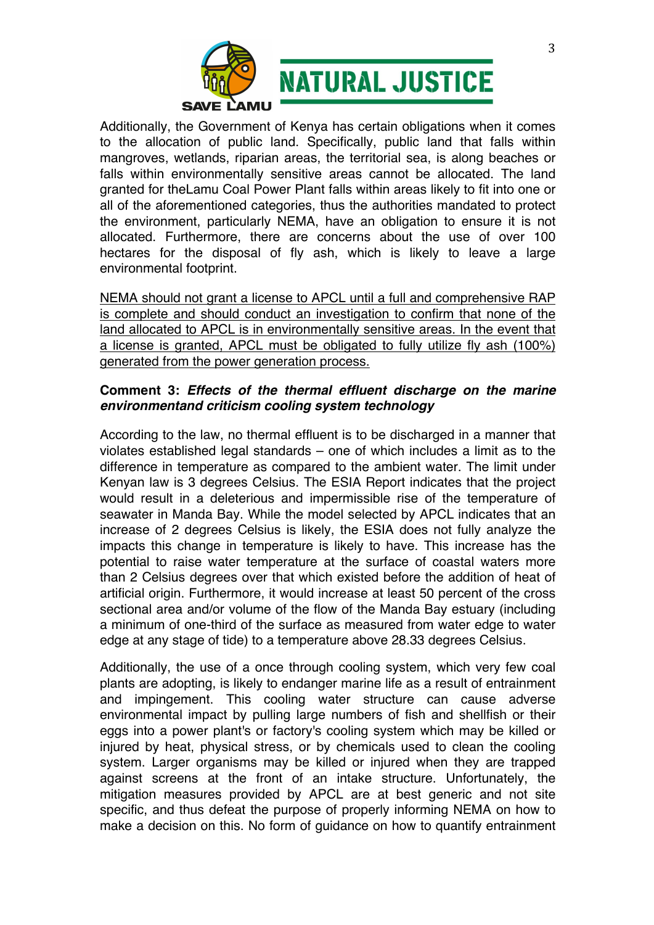

Additionally, the Government of Kenya has certain obligations when it comes to the allocation of public land. Specifically, public land that falls within mangroves, wetlands, riparian areas, the territorial sea, is along beaches or falls within environmentally sensitive areas cannot be allocated. The land granted for theLamu Coal Power Plant falls within areas likely to fit into one or all of the aforementioned categories, thus the authorities mandated to protect the environment, particularly NEMA, have an obligation to ensure it is not allocated. Furthermore, there are concerns about the use of over 100 hectares for the disposal of fly ash, which is likely to leave a large environmental footprint.

NEMA should not grant a license to APCL until a full and comprehensive RAP is complete and should conduct an investigation to confirm that none of the land allocated to APCL is in environmentally sensitive areas. In the event that a license is granted, APCL must be obligated to fully utilize fly ash (100%) generated from the power generation process.

### **Comment 3:** *Effects of the thermal effluent discharge on the marine environmentand criticism cooling system technology*

According to the law, no thermal effluent is to be discharged in a manner that violates established legal standards – one of which includes a limit as to the difference in temperature as compared to the ambient water. The limit under Kenyan law is 3 degrees Celsius. The ESIA Report indicates that the project would result in a deleterious and impermissible rise of the temperature of seawater in Manda Bay. While the model selected by APCL indicates that an increase of 2 degrees Celsius is likely, the ESIA does not fully analyze the impacts this change in temperature is likely to have. This increase has the potential to raise water temperature at the surface of coastal waters more than 2 Celsius degrees over that which existed before the addition of heat of artificial origin. Furthermore, it would increase at least 50 percent of the cross sectional area and/or volume of the flow of the Manda Bay estuary (including a minimum of one-third of the surface as measured from water edge to water edge at any stage of tide) to a temperature above 28.33 degrees Celsius.

Additionally, the use of a once through cooling system, which very few coal plants are adopting, is likely to endanger marine life as a result of entrainment and impingement. This cooling water structure can cause adverse environmental impact by pulling large numbers of fish and shellfish or their eggs into a power plant's or factory's cooling system which may be killed or injured by heat, physical stress, or by chemicals used to clean the cooling system. Larger organisms may be killed or injured when they are trapped against screens at the front of an intake structure. Unfortunately, the mitigation measures provided by APCL are at best generic and not site specific, and thus defeat the purpose of properly informing NEMA on how to make a decision on this. No form of guidance on how to quantify entrainment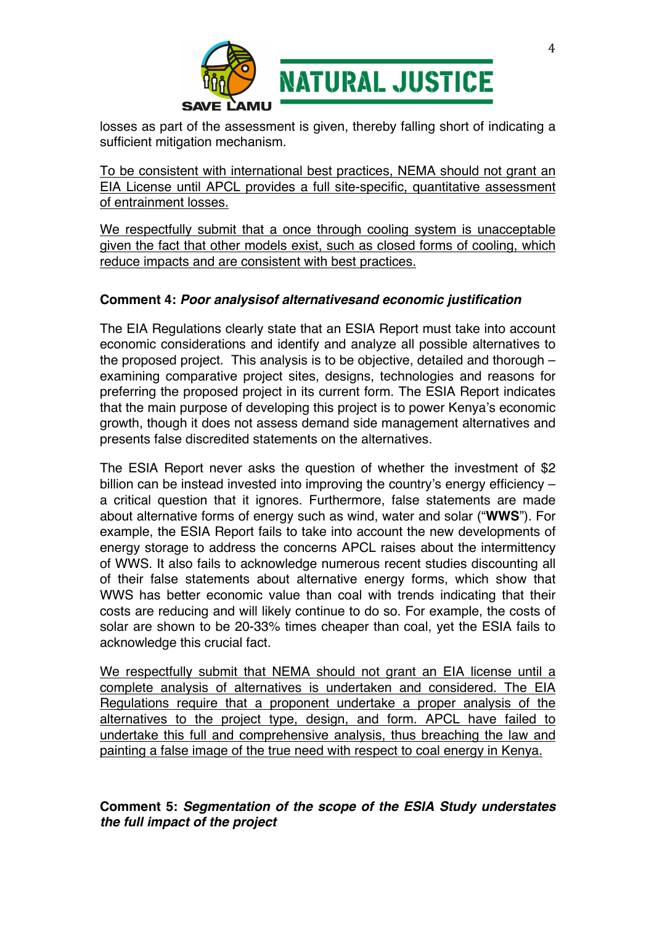

losses as part of the assessment is given, thereby falling short of indicating a sufficient mitigation mechanism.

To be consistent with international best practices, NEMA should not grant an EIA License until APCL provides a full site-specific, quantitative assessment of entrainment losses.

We respectfully submit that a once through cooling system is unacceptable given the fact that other models exist, such as closed forms of cooling, which reduce impacts and are consistent with best practices.

## **Comment 4:** *Poor analysisof alternativesand economic justification*

The EIA Regulations clearly state that an ESIA Report must take into account economic considerations and identify and analyze all possible alternatives to the proposed project. This analysis is to be objective, detailed and thorough – examining comparative project sites, designs, technologies and reasons for preferring the proposed project in its current form. The ESIA Report indicates that the main purpose of developing this project is to power Kenya's economic growth, though it does not assess demand side management alternatives and presents false discredited statements on the alternatives.

The ESIA Report never asks the question of whether the investment of \$2 billion can be instead invested into improving the country's energy efficiency – a critical question that it ignores. Furthermore, false statements are made about alternative forms of energy such as wind, water and solar ("**WWS**"). For example, the ESIA Report fails to take into account the new developments of energy storage to address the concerns APCL raises about the intermittency of WWS. It also fails to acknowledge numerous recent studies discounting all of their false statements about alternative energy forms, which show that WWS has better economic value than coal with trends indicating that their costs are reducing and will likely continue to do so. For example, the costs of solar are shown to be 20-33% times cheaper than coal, yet the ESIA fails to acknowledge this crucial fact.

We respectfully submit that NEMA should not grant an EIA license until a complete analysis of alternatives is undertaken and considered. The EIA Regulations require that a proponent undertake a proper analysis of the alternatives to the project type, design, and form. APCL have failed to undertake this full and comprehensive analysis, thus breaching the law and painting a false image of the true need with respect to coal energy in Kenya.

# **Comment 5:** *Segmentation of the scope of the ESIA Study understates the full impact of the project*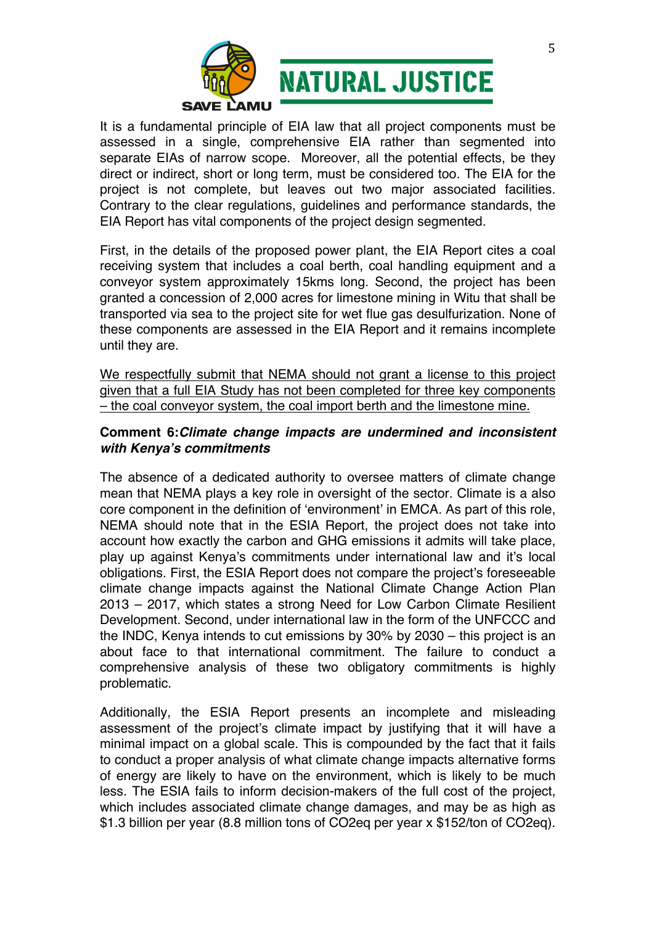

It is a fundamental principle of EIA law that all project components must be assessed in a single, comprehensive EIA rather than segmented into separate EIAs of narrow scope. Moreover, all the potential effects, be they direct or indirect, short or long term, must be considered too. The EIA for the project is not complete, but leaves out two major associated facilities. Contrary to the clear regulations, guidelines and performance standards, the EIA Report has vital components of the project design segmented.

First, in the details of the proposed power plant, the EIA Report cites a coal receiving system that includes a coal berth, coal handling equipment and a conveyor system approximately 15kms long. Second, the project has been granted a concession of 2,000 acres for limestone mining in Witu that shall be transported via sea to the project site for wet flue gas desulfurization. None of these components are assessed in the EIA Report and it remains incomplete until they are.

We respectfully submit that NEMA should not grant a license to this project given that a full EIA Study has not been completed for three key components – the coal conveyor system, the coal import berth and the limestone mine.

#### **Comment 6:***Climate change impacts are undermined and inconsistent with Kenya's commitments*

The absence of a dedicated authority to oversee matters of climate change mean that NEMA plays a key role in oversight of the sector. Climate is a also core component in the definition of 'environment' in EMCA. As part of this role, NEMA should note that in the ESIA Report, the project does not take into account how exactly the carbon and GHG emissions it admits will take place, play up against Kenya's commitments under international law and it's local obligations. First, the ESIA Report does not compare the project's foreseeable climate change impacts against the National Climate Change Action Plan 2013 – 2017, which states a strong Need for Low Carbon Climate Resilient Development. Second, under international law in the form of the UNFCCC and the INDC, Kenya intends to cut emissions by 30% by 2030 – this project is an about face to that international commitment. The failure to conduct a comprehensive analysis of these two obligatory commitments is highly problematic.

Additionally, the ESIA Report presents an incomplete and misleading assessment of the project's climate impact by justifying that it will have a minimal impact on a global scale. This is compounded by the fact that it fails to conduct a proper analysis of what climate change impacts alternative forms of energy are likely to have on the environment, which is likely to be much less. The ESIA fails to inform decision-makers of the full cost of the project, which includes associated climate change damages, and may be as high as \$1.3 billion per year (8.8 million tons of CO2eq per year x \$152/ton of CO2eq).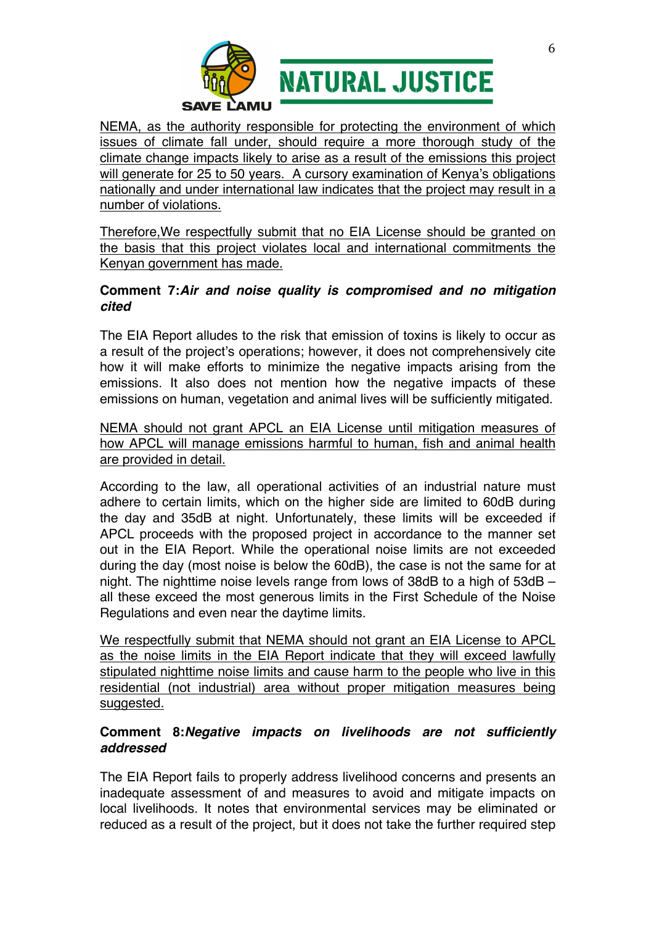

NEMA, as the authority responsible for protecting the environment of which issues of climate fall under, should require a more thorough study of the climate change impacts likely to arise as a result of the emissions this project will generate for 25 to 50 years. A cursory examination of Kenya's obligations nationally and under international law indicates that the project may result in a number of violations.

Therefore,We respectfully submit that no EIA License should be granted on the basis that this project violates local and international commitments the Kenyan government has made.

# **Comment 7:***Air and noise quality is compromised and no mitigation cited*

The EIA Report alludes to the risk that emission of toxins is likely to occur as a result of the project's operations; however, it does not comprehensively cite how it will make efforts to minimize the negative impacts arising from the emissions. It also does not mention how the negative impacts of these emissions on human, vegetation and animal lives will be sufficiently mitigated.

NEMA should not grant APCL an EIA License until mitigation measures of how APCL will manage emissions harmful to human, fish and animal health are provided in detail.

According to the law, all operational activities of an industrial nature must adhere to certain limits, which on the higher side are limited to 60dB during the day and 35dB at night. Unfortunately, these limits will be exceeded if APCL proceeds with the proposed project in accordance to the manner set out in the EIA Report. While the operational noise limits are not exceeded during the day (most noise is below the 60dB), the case is not the same for at night. The nighttime noise levels range from lows of 38dB to a high of 53dB – all these exceed the most generous limits in the First Schedule of the Noise Regulations and even near the daytime limits.

We respectfully submit that NEMA should not grant an EIA License to APCL as the noise limits in the EIA Report indicate that they will exceed lawfully stipulated nighttime noise limits and cause harm to the people who live in this residential (not industrial) area without proper mitigation measures being suggested.

# **Comment 8:***Negative impacts on livelihoods are not sufficiently addressed*

The EIA Report fails to properly address livelihood concerns and presents an inadequate assessment of and measures to avoid and mitigate impacts on local livelihoods. It notes that environmental services may be eliminated or reduced as a result of the project, but it does not take the further required step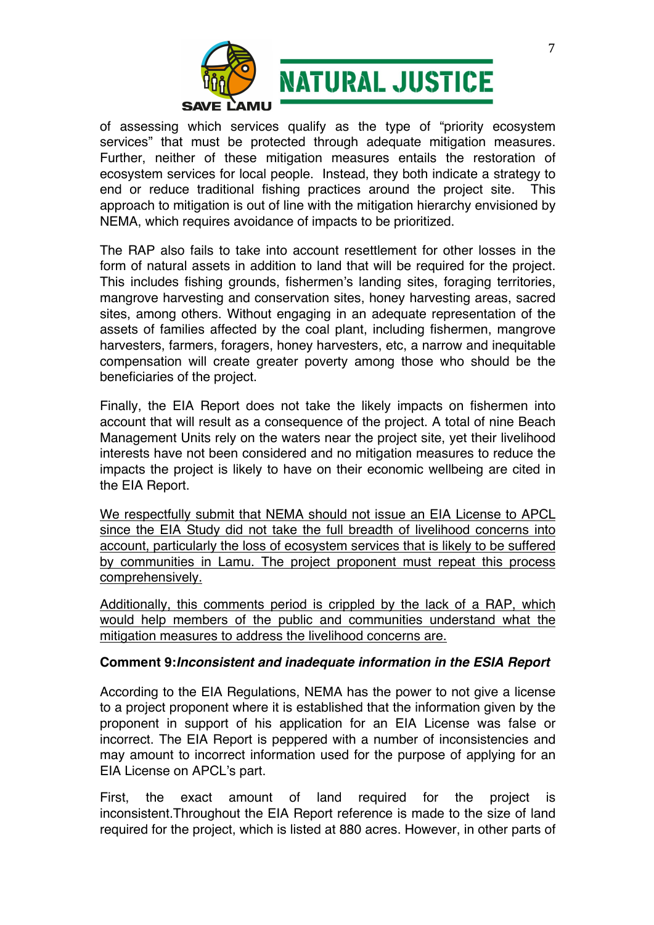

of assessing which services qualify as the type of "priority ecosystem services" that must be protected through adequate mitigation measures. Further, neither of these mitigation measures entails the restoration of ecosystem services for local people. Instead, they both indicate a strategy to end or reduce traditional fishing practices around the project site. This approach to mitigation is out of line with the mitigation hierarchy envisioned by NEMA, which requires avoidance of impacts to be prioritized.

The RAP also fails to take into account resettlement for other losses in the form of natural assets in addition to land that will be required for the project. This includes fishing grounds, fishermen's landing sites, foraging territories, mangrove harvesting and conservation sites, honey harvesting areas, sacred sites, among others. Without engaging in an adequate representation of the assets of families affected by the coal plant, including fishermen, mangrove harvesters, farmers, foragers, honey harvesters, etc, a narrow and inequitable compensation will create greater poverty among those who should be the beneficiaries of the project.

Finally, the EIA Report does not take the likely impacts on fishermen into account that will result as a consequence of the project. A total of nine Beach Management Units rely on the waters near the project site, yet their livelihood interests have not been considered and no mitigation measures to reduce the impacts the project is likely to have on their economic wellbeing are cited in the EIA Report.

We respectfully submit that NEMA should not issue an EIA License to APCL since the EIA Study did not take the full breadth of livelihood concerns into account, particularly the loss of ecosystem services that is likely to be suffered by communities in Lamu. The project proponent must repeat this process comprehensively.

Additionally, this comments period is crippled by the lack of a RAP, which would help members of the public and communities understand what the mitigation measures to address the livelihood concerns are.

#### **Comment 9:***Inconsistent and inadequate information in the ESIA Report*

According to the EIA Regulations, NEMA has the power to not give a license to a project proponent where it is established that the information given by the proponent in support of his application for an EIA License was false or incorrect. The EIA Report is peppered with a number of inconsistencies and may amount to incorrect information used for the purpose of applying for an EIA License on APCL's part.

First, the exact amount of land required for the project is inconsistent.Throughout the EIA Report reference is made to the size of land required for the project, which is listed at 880 acres. However, in other parts of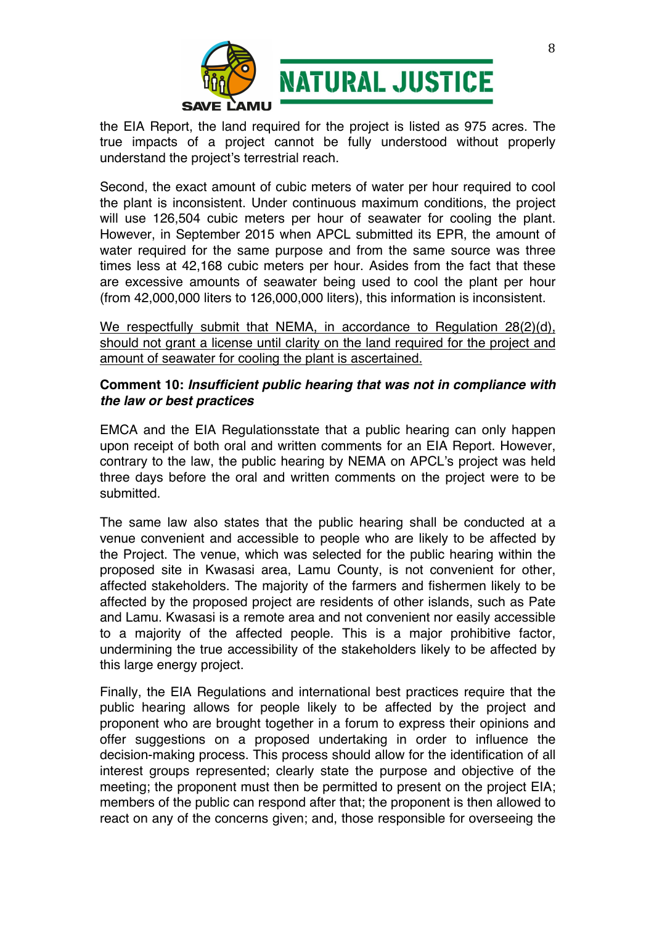

the EIA Report, the land required for the project is listed as 975 acres. The true impacts of a project cannot be fully understood without properly understand the project's terrestrial reach.

Second, the exact amount of cubic meters of water per hour required to cool the plant is inconsistent. Under continuous maximum conditions, the project will use 126,504 cubic meters per hour of seawater for cooling the plant. However, in September 2015 when APCL submitted its EPR, the amount of water required for the same purpose and from the same source was three times less at 42,168 cubic meters per hour. Asides from the fact that these are excessive amounts of seawater being used to cool the plant per hour (from 42,000,000 liters to 126,000,000 liters), this information is inconsistent.

We respectfully submit that NEMA, in accordance to Regulation 28(2)(d), should not grant a license until clarity on the land required for the project and amount of seawater for cooling the plant is ascertained.

### **Comment 10:** *Insufficient public hearing that was not in compliance with the law or best practices*

EMCA and the EIA Regulationsstate that a public hearing can only happen upon receipt of both oral and written comments for an EIA Report. However, contrary to the law, the public hearing by NEMA on APCL's project was held three days before the oral and written comments on the project were to be submitted.

The same law also states that the public hearing shall be conducted at a venue convenient and accessible to people who are likely to be affected by the Project. The venue, which was selected for the public hearing within the proposed site in Kwasasi area, Lamu County, is not convenient for other, affected stakeholders. The majority of the farmers and fishermen likely to be affected by the proposed project are residents of other islands, such as Pate and Lamu. Kwasasi is a remote area and not convenient nor easily accessible to a majority of the affected people. This is a major prohibitive factor, undermining the true accessibility of the stakeholders likely to be affected by this large energy project.

Finally, the EIA Regulations and international best practices require that the public hearing allows for people likely to be affected by the project and proponent who are brought together in a forum to express their opinions and offer suggestions on a proposed undertaking in order to influence the decision-making process. This process should allow for the identification of all interest groups represented; clearly state the purpose and objective of the meeting; the proponent must then be permitted to present on the project EIA; members of the public can respond after that; the proponent is then allowed to react on any of the concerns given; and, those responsible for overseeing the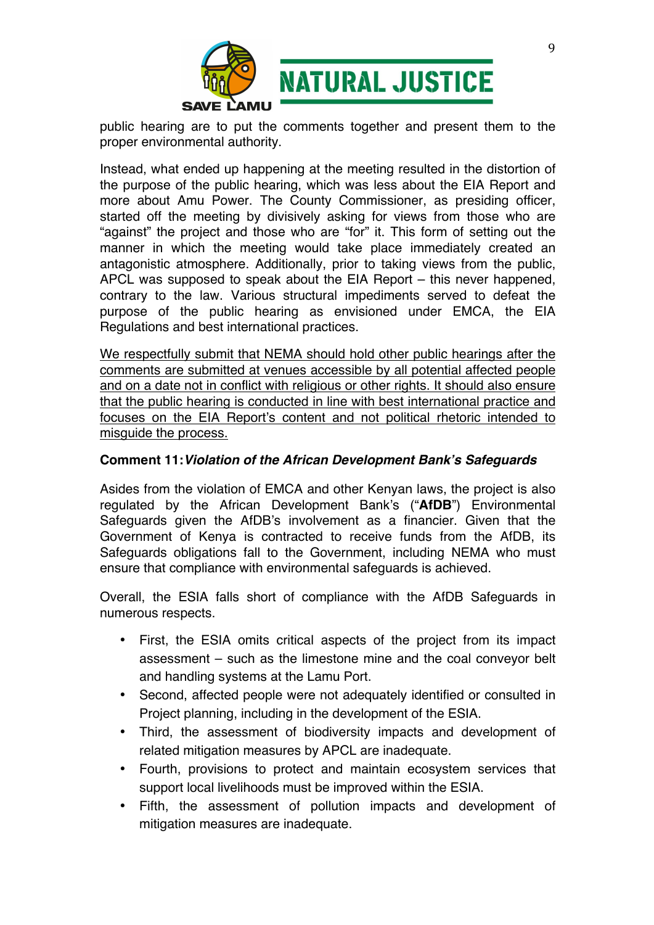

public hearing are to put the comments together and present them to the proper environmental authority.

Instead, what ended up happening at the meeting resulted in the distortion of the purpose of the public hearing, which was less about the EIA Report and more about Amu Power. The County Commissioner, as presiding officer, started off the meeting by divisively asking for views from those who are "against" the project and those who are "for" it. This form of setting out the manner in which the meeting would take place immediately created an antagonistic atmosphere. Additionally, prior to taking views from the public, APCL was supposed to speak about the EIA Report – this never happened, contrary to the law. Various structural impediments served to defeat the purpose of the public hearing as envisioned under EMCA, the EIA Regulations and best international practices.

We respectfully submit that NEMA should hold other public hearings after the comments are submitted at venues accessible by all potential affected people and on a date not in conflict with religious or other rights. It should also ensure that the public hearing is conducted in line with best international practice and focuses on the EIA Report's content and not political rhetoric intended to misguide the process.

### **Comment 11:***Violation of the African Development Bank's Safeguards*

Asides from the violation of EMCA and other Kenyan laws, the project is also regulated by the African Development Bank's ("**AfDB**") Environmental Safeguards given the AfDB's involvement as a financier. Given that the Government of Kenya is contracted to receive funds from the AfDB, its Safeguards obligations fall to the Government, including NEMA who must ensure that compliance with environmental safeguards is achieved.

Overall, the ESIA falls short of compliance with the AfDB Safeguards in numerous respects.

- First, the ESIA omits critical aspects of the project from its impact assessment – such as the limestone mine and the coal conveyor belt and handling systems at the Lamu Port.
- Second, affected people were not adequately identified or consulted in Project planning, including in the development of the ESIA.
- Third, the assessment of biodiversity impacts and development of related mitigation measures by APCL are inadequate.
- Fourth, provisions to protect and maintain ecosystem services that support local livelihoods must be improved within the ESIA.
- Fifth, the assessment of pollution impacts and development of mitigation measures are inadequate.